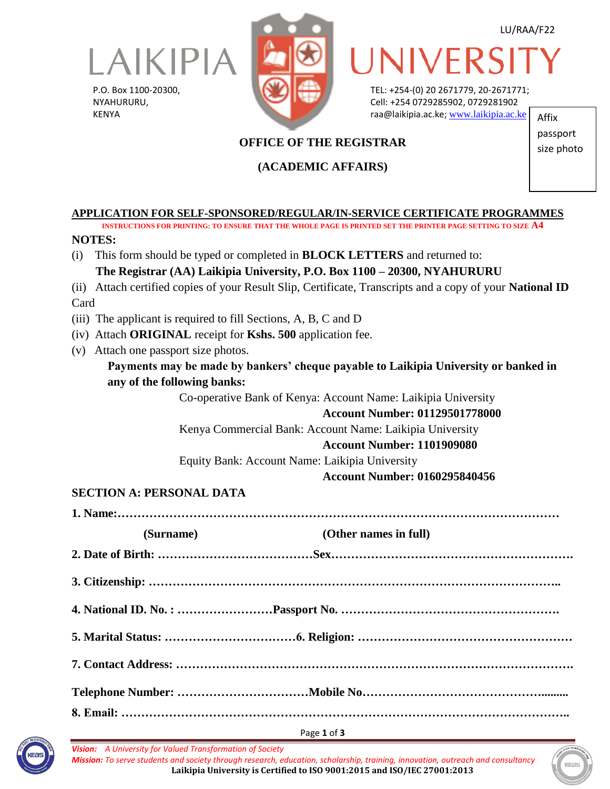

P.O. Box 1100-20300, NYAHURURU, KENYA



LU/RAA/F22

# UNIVERS

TEL: +254-(0) 20 2671779, 20-2671771; Cell: +254 0729285902, 0729281902 raa@laikipia.ac.ke; [www.laikipia.ac.ke](http://www.laikipia.ac.ke/) Affix

# **OFFICE OF THE REGISTRAR**

## **(ACADEMIC AFFAIRS)**

passport size photo

#### **APPLICATION FOR SELF-SPONSORED/REGULAR/IN-SERVICE CERTIFICATE PROGRAMMES**

**INSTRUCTIONS FOR PRINTING: TO ENSURE THAT THE WHOLE PAGE IS PRINTED SET THE PRINTER PAGE SETTING TO SIZE A4 NOTES:** (i) This form should be typed or completed in **BLOCK LETTERS** and returned to:  **The Registrar (AA) Laikipia University, P.O. Box 1100 – 20300, NYAHURURU**

(ii) Attach certified copies of your Result Slip, Certificate, Transcripts and a copy of your **National ID**  Card

(iii) The applicant is required to fill Sections, A, B, C and D

- (iv) Attach **ORIGINAL** receipt for **Kshs. 500** application fee.
- (v) Attach one passport size photos.

## **Payments may be made by bankers' cheque payable to Laikipia University or banked in any of the following banks:**

Co-operative Bank of Kenya: Account Name: Laikipia University

#### **Account Number: 01129501778000**

Kenya Commercial Bank: Account Name: Laikipia University

#### **Account Number: 1101909080**

Equity Bank: Account Name: Laikipia University

#### **Account Number: 0160295840456**

## **SECTION A: PERSONAL DATA**

**1. Name:…………………………………………………………………………………………………**

| (Surname) | (Other names in full) |
|-----------|-----------------------|
|           |                       |
|           |                       |
|           |                       |
|           |                       |
|           |                       |
|           |                       |



*Vision: A University for Valued Transformation of Society Mission: To serve students and society through research, education, scholarship, training, innovation, outreach and consultancy* **Laikipia University is Certified to ISO 9001:2015 and ISO/IEC 27001:2013**

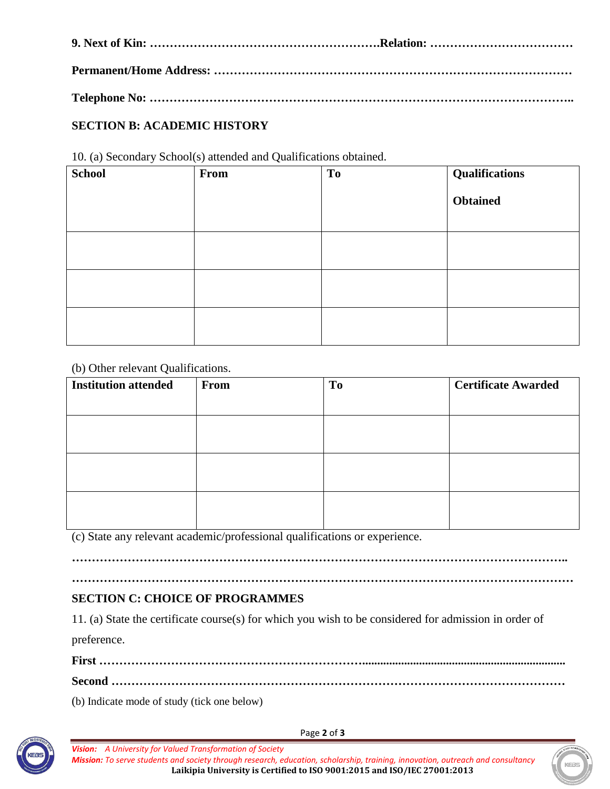# **SECTION B: ACADEMIC HISTORY**

10. (a) Secondary School(s) attended and Qualifications obtained.

| <b>School</b> | From | T <sub>o</sub> | <b>Qualifications</b> |
|---------------|------|----------------|-----------------------|
|               |      |                | <b>Obtained</b>       |
|               |      |                |                       |
|               |      |                |                       |
|               |      |                |                       |

(b) Other relevant Qualifications.

| <b>Institution attended</b> | From | To | <b>Certificate Awarded</b> |
|-----------------------------|------|----|----------------------------|
|                             |      |    |                            |
|                             |      |    |                            |
|                             |      |    |                            |
|                             |      |    |                            |
|                             |      |    |                            |
|                             |      |    |                            |
|                             |      |    |                            |

(c) State any relevant academic/professional qualifications or experience.

**……………………………………………………………………………………………………………..**

## **……………………………………………………………………………………………………………… SECTION C: CHOICE OF PROGRAMMES**

11. (a) State the certificate course(s) for which you wish to be considered for admission in order of preference.

**First …………………………………………………………....................................................................**

**Second ……………………………………………………………………………………………………**

(b) Indicate mode of study (tick one below)



Page **2** of **3**